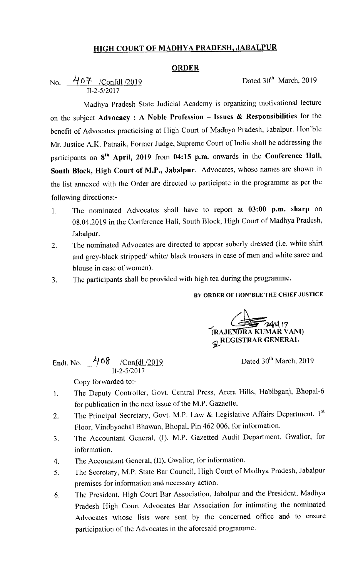## HIGH COURT OF MADHYA PRADESH, JABALPUR

## **ORDER**

No.  $\frac{A07}{C \text{on}}$  /Confdl /2019 11-2-5/2017

Madhya Pradesh State Judicial Academy is organizing motivational lecture on the subject Advocacy : A Noble Profession - Issues & Responsibilities for the benefit of Advocates practicising at High Court of Madhya Pradesh, Jabalpur. Hon'ble Mr. Justice A.K. Patnaik, Former Judge, Supreme Court of India shall be addressing the participants on  $8<sup>th</sup>$  April, 2019 from 04:15 p.m. onwards in the Conference Hall, South Block, High Court of M.P., Jabalpur. Advocates, whose names are shown in the list annexed with the Order are directed to participate in the programme as per the following directions:-

- 1. The nominated Advocates shall have to report at 03:00 p.m. sharp on 08.04.2019 in the Conference Hall, South Block, High Court of Madhya Pradesh, Jabalpur.
- The nominated Advocates are directed to appear soberly dressed (i.e. white shirt  $\overline{2}$ . and grey-black stripped/ white/ black trousers in case of men and white saree and blouse in case of women).
- The participants shall bc provided with high tea during the programme.  $3<sub>1</sub>$

BY ORDER OF HON'BLE THE CHIEF JUSTICE

*(RAJENDRA KUMAR VANI)* **REGISTRAR GENERAL** 

Dated 30<sup>th</sup> March, 2019

 $II - 2 - 5/2017$ Copy forwarded to:-

Endt. No. 408 /Confdl /2019

- The Deputy Controller, Govt. Central Press, Arera Hills, IIabibganj, Bhopal-6  $\mathbf{L}$ for publication in the next issue of the M.P. Gazaette,
- The Principal Secretary, Govt. M.P. Law & Legislative Affairs Department, 1st  $2.$ Floor, Vindhyachal Bhawan, Bhopal, Pin 462 006, for information.
- The Accountant General, (I), M.P. Gazetted Audit Department, Gwalior, for  $3<sub>1</sub>$ information.
- 4. The Accountant General, (II), Gwalior, for information.
- 5. The Secretary, M.P. State Bar Council, High Court of Madhya Pradesh, Jabalpur premises for information and necessary action.
- 6. The President, High Court Bar Association, Jabalpur and the President, Madhya Pradesh High Court Advocates Bar Association for intimating the nominated Advocates whose lists were sent by the concerned office and to ensure participation of the Advocates in the aforesaid programme.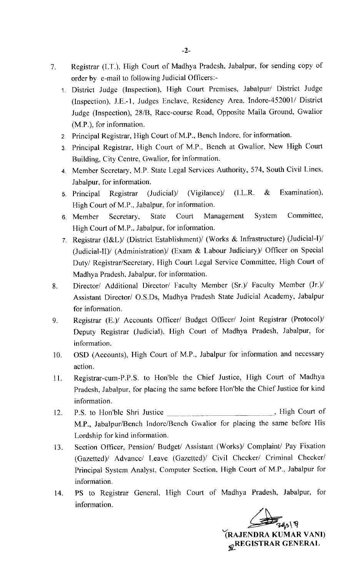- 7. Registrar (I.T.), High court of Madhya pradesh, Jabalpur, for sending copy of order by e-mail to following Judicial Officers:-
	- 1. District Judge (Inspection), High Court Premises, Jabalpur/ District Judge (Inspection), J.F,.-I, Judges Enclave. Residency Area. Indore-452001/ District Judge (Inspection), 28/8, Race-course Road, Opposite Maila Ground, Gwalior (M.P.), for information.
	- 2 Principal Registrar, High Court of M.P., Bench lndore, for information.
	- 3 Principal Registrar, High Court of M.P., Bench at Gwalior. New High Court Building, City Centre, Gwalior. for information.
	- 4 Member Secretary. M.P. State Legal Services Authority, 574, South Civil Lines, Jabalpur, for information.
	- 5. Principal Registrar (Judicial)/ (Vigilance)/ (I.L.R. & Examination), High Court of M.P., Jabalpur, for information.
	- 6. Member Secretary, State Court Management System Committee, High Court of M.P., Jabalpur, for information.
	- 7 Registrar (I&L)/ (District Establishment)/ (Works & Infrastructure) (Judicial-I)/ (Judicial-II)/ (Administration)/ (Exam & I,abour Judiciary)/ Officer on Special Duty/ Registrar/Secretary, High Court Legal Service Committee, High Court of Madhya Pradesh, Jabalpur, for information.
- 8. Director/ Additional Director/ Faculty Member (Sr.)/ Faculty Member (Jr.)/ Assistant Director/ O.S.Ds, Madhya Pradesh State Judicial Academy, Jabalpur for infomation.
- 9. Registrar (E.)/ Accounts Officer/ Budget Officer/ Joint Registrar (Protocol)/ Deputy Registrar (Judicial), High Court of Madhya Pradesh, Jabalpur, for information.
- 10. OSD (Accounts), High Court of M.P., Jabalpur for information and necessary action.
- 11. Registrar-cum-P.P.S. to Hon'ble the Chief Justice, High Court of Madhya Pradesh, Jabalpur, for placing the same before Hon'ble the Chief Justice for kind information.
- 12. P.S. to Hon'ble Shri Justice , High Court of M.P., Jabalpur/Bench Indore/Bench Gwalior for placing the same before His Lordship for kind information.
- 13. Section Officer, Pension/ Budget/ Assistant (Works)/ Complaint/ Pay Fixation (Gazetted)/ Advancc/ I,eave (Gazetted)/ Civil Checker/ Criminal Checker/ Principal System Analyst, Computer Section, High Court of M.P., Jabalpur for information.
- 14. PS to Registrar General, High Court of Madhya Pradesh, Jabalpur, for information.

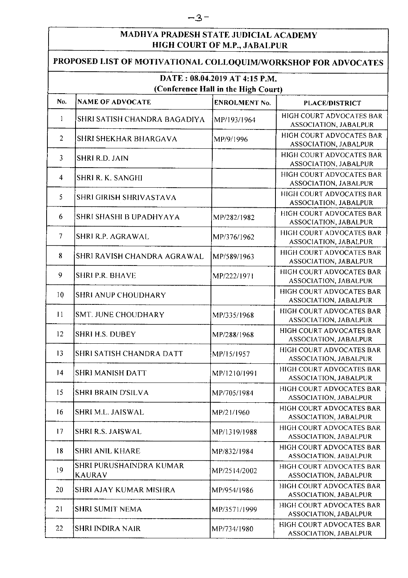## MADHYA PRADESH STATE JUDICIAL ACADEMY HIGH COURT OF M.P., JABALPUR

## PROPOSED LIST OF MOTIVATIONAL COLLOQUIM/WORKSHOP FOR ADVOCATES DATE: 08.04.2019 AT 4:15 P.M. (Conference Hall in the High Court) No. **NAME OF ADVOCATE ENROLMENT No. PLACE/DISTRICT HIGH COURT ADVOCATES BAR**  $\mathbf{1}$ SHRI SATISH CHANDRA BAGADIYA MP/193/1964 ASSOCIATION, JABALPUR HIGH COURT ADVOCATES BAR  $\overline{2}$ **SHRI SHEKHAR BHARGAVA** MP/9/1996 **ASSOCIATION, JABALPUR HIGH COURT ADVOCATES BAR**  $\overline{3}$ **SHRI R.D. JAIN ASSOCIATION, JABALPUR** HIGH COURT ADVOCATES BAR  $\overline{4}$ **SHRI R. K. SANGHI ASSOCIATION, JABALPUR** HIGH COURT ADVOCATES BAR **SHRI GIRISH SHRIVASTAVA** 5 **ASSOCIATION, JABALPUR** HIGH COURT ADVOCATES BAR 6 SHRI SHASHI B UPADHYAYA MP/282/1982 **ASSOCIATION, JABALPUR** HIGH COURT ADVOCATES BAR  $\overline{7}$ **SHRI R.P. AGRAWAL** MP/376/1962 ASSOCIATION, JABALPUR **HIGH COURT ADVOCATES BAR** 8 SHRI RAVISH CHANDRA AGRAWAL MP/589/1963 ASSOCIATION, JABALPUR HIGH COURT ADVOCATES BAR 9 **SHRIP.R. BHAVE** MP/222/1971 **ASSOCIATION, JABALPUR HIGH COURT ADVOCATES BAR** 10 **SHRI ANUP CHOUDHARY ASSOCIATION, JABALPUR** HIGH COURT ADVOCATES BAR  $11$ **SMT. JUNE CHOUDHARY** MP/335/1968 ASSOCIATION, JABALPUR HIGH COURT ADVOCATES BAR  $12$ ISHRI H.S. DUBEY MP/288/1968 **ASSOCIATION, JABALPUR HIGH COURT ADVOCATES BAR** SHRI SATISH CHANDRA DATT 13 MP/15/1957 **ASSOCIATION, JABALPUR HIGH COURT ADVOCATES BAR**  $14$ **SHRI MANISH DATT** MP/1210/1991 **ASSOCIATION, JABALPUR** HIGH COURT ADVOCATES BAR 15 SHRI BRAIN D'SILVA MP/705/1984 ASSOCIATION, JABALPUR HIGH COURT ADVOCATES BAR  $16$ **SHRI M.L. JAISWAL** MP/21/1960 **ASSOCIATION, JABALPUR** HIGH COURT ADVOCATES BAR 17 **SHRI R.S. JAISWAL** MP/1319/1988 **ASSOCIATION, JABALPUR** HIGH COURT ADVOCATES BAR 18 **SHRI ANIL KHARE** MP/832/1984 ASSOCIATION, JABALPUR SHRI PURUSHAINDRA KUMAR HIGH COURT ADVOCATES BAR 19 MP/2514/2002 **KAURAV ASSOCIATION, JABALPUR** HIGH COURT ADVOCATES BAR 20 **SHRI AJAY KUMAR MISHRA** MP/954/1986 ASSOCIATION, JABALPUR

MP/3571/1999

MP/734/1980

 $21$ 

22

**SHRI SUMIT NEMA** 

SHRI INDIRA NAIR

HIGH COURT ADVOCATES BAR

ASSOCIATION, JABALPUR HIGH COURT ADVOCATES BAR

ASSOCIATION, JABALPUR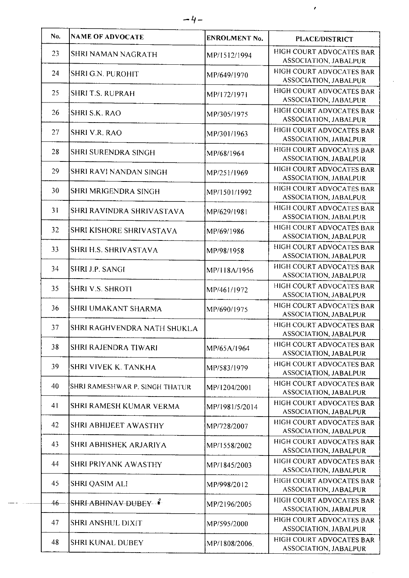| No. | <b>NAME OF ADVOCATE</b>        | ENROLMENT No.  | <b>PLACE/DISTRICT</b>                                    |
|-----|--------------------------------|----------------|----------------------------------------------------------|
| 23  | SHRI NAMAN NAGRATH             | MP/1512/1994   | HIGH COURT ADVOCATES BAR<br><b>ASSOCIATION, JABALPUR</b> |
| 24  | SHRI G.N. PUROHIT              | MP/649/1970    | HIGH COURT ADVOCATES BAR<br><b>ASSOCIATION, JABALPUR</b> |
| 25  | <b>SHRI T.S. RUPRAH</b>        | MP/172/1971    | <b>HIGH COURT ADVOCATES BAR</b><br>ASSOCIATION, JABALPUR |
| 26  | <b>SHRI S.K. RAO</b>           | MP/305/1975    | HIGH COURT ADVOCATES BAR<br>ASSOCIATION, JABALPUR        |
| 27  | <b>SHRI V.R. RAO</b>           | MP/301/1963    | HIGH COURT ADVOCATES BAR<br><b>ASSOCIATION, JABALPUR</b> |
| 28  | SHRI SURENDRA SINGH            | MP/68/1964     | HIGH COURT ADVOCATES BAR<br><b>ASSOCIATION, JABALPUR</b> |
| 29  | SHRI RAVI NANDAN SINGH         | MP/251/1969    | HIGH COURT ADVOCATES BAR<br><b>ASSOCIATION, JABALPUR</b> |
| 30  | SHRI MRIGENDRA SINGH           | MP/1501/1992   | HIGH COURT ADVOCATES BAR<br><b>ASSOCIATION, JABALPUR</b> |
| 31  | SHRI RAVINDRA SHRIVASTAVA      | MP/629/1981    | HIGH COURT ADVOCATES BAR<br><b>ASSOCIATION, JABALPUR</b> |
| 32  | SHRI KISHORE SHRIVASTAVA       | MP/69/1986     | HIGH COURT ADVOCATES BAR<br><b>ASSOCIATION, JABALPUR</b> |
| 33  | SHRI H.S. SHRIVASTAVA          | MP/98/1958     | HIGH COURT ADVOCATES BAR<br>ASSOCIATION, JABALPUR        |
| 34  | SHRI J.P. SANGI                | MP/118A/1956   | HIGH COURT ADVOCATES BAR<br><b>ASSOCIATION, JABALPUR</b> |
| 35  | SHRI V.S. SHROTI               | MP/461/1972    | HIGH COURT ADVOCATES BAR<br>ASSOCIATION, JABALPUR        |
| 36  | SHRI UMAKANT SHARMA            | MP/690/1975    | HIGH COURT ADVOCATES BAR<br><b>ASSOCIATION, JABALPUR</b> |
| 37  | SHRI RAGHVENDRA NATH SHUKLA    |                | HIGH COURT ADVOCATES BAR<br>ASSOCIATION, JABALPUR        |
| 38  | SHRI RAJENDRA TIWARI           | MP/65A/1964    | HIGH COURT ADVOCATES BAR<br>ASSOCIATION, JABALPUR        |
| 39  | <b>SHRI VIVEK K. TANKHA</b>    | MP/583/1979    | HIGH COURT ADVOCATES BAR<br><b>ASSOCIATION, JABALPUR</b> |
| 40  | SHRI RAMESHWAR P. SINGH THATUR | MP/1204/2001   | HIGH COURT ADVOCATES BAR<br><b>ASSOCIATION, JABALPUR</b> |
| 41  | SHRI RAMESH KUMAR VERMA        | MP/1981/5/2014 | HIGH COURT ADVOCATES BAR<br><b>ASSOCIATION, JABALPUR</b> |
| 42  | SHRI ABHIJEET AWASTHY          | MP/728/2007    | HIGH COURT ADVOCATES BAR<br><b>ASSOCIATION, JABALPUR</b> |
| 43  | SHRI ABHISHEK ARJARIYA         | MP/1558/2002   | HIGH COURT ADVOCATES BAR<br>ASSOCIATION, JABALPUR        |
| 44  | SHRI PRIYANK AWASTHY           | MP/1845/2003   | HIGH COURT ADVOCATES BAR<br><b>ASSOCIATION, JABALPUR</b> |
| 45  | <b>SHRI QASIM ALI</b>          | MP/998/2012    | HIGH COURT ADVOCATES BAR<br><b>ASSOCIATION, JABALPUR</b> |
| 46  | <b>SHRI ABHINAV DUBEY Y</b>    | MP/2196/2005   | HIGH COURT ADVOCATES BAR<br><b>ASSOCIATION, JABALPUR</b> |
| 47  | SHRI ANSHUL DIXIT              | MP/595/2000    | HIGH COURT ADVOCATES BAR<br><b>ASSOCIATION, JABALPUR</b> |
| 48  | <b>SHRI KUNAL DUBEY</b>        | MP/1808/2006.  | HIGH COURT ADVOCATES BAR<br>ASSOCIATION, JABALPUR        |

 $\pmb{\cdot}$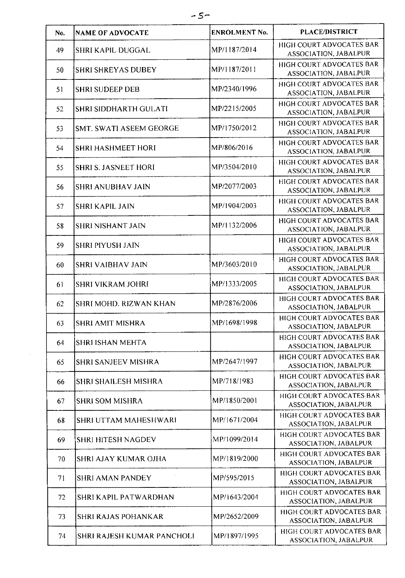| No. | <b>NAME OF ADVOCATE</b>        | <b>ENROLMENT No.</b> | <b>PLACE/DISTRICT</b>                                    |
|-----|--------------------------------|----------------------|----------------------------------------------------------|
| 49  | <b>SHRI KAPIL DUGGAL</b>       | MP/1187/2014         | HIGH COURT ADVOCATES BAR<br>ASSOCIATION, JABALPUR        |
| 50  | <b>SHRI SHREYAS DUBEY</b>      | MP/1187/2011         | HIGH COURT ADVOCATES BAR<br>ASSOCIATION, JABALPUR        |
| 51  | <b>SHRI SUDEEP DEB</b>         | MP/2340/1996         | HIGH COURT ADVOCATES BAR<br>ASSOCIATION, JABALPUR        |
| 52  | <b>SHRI SIDDHARTH GULATI</b>   | MP/2215/2005         | HIGH COURT ADVOCATES BAR<br>ASSOCIATION, JABALPUR        |
| 53  | <b>SMT. SWATI ASEEM GEORGE</b> | MP/1750/2012         | HIGH COURT ADVOCATES BAR<br>ASSOCIATION, JABALPUR        |
| 54  | <b>SHRI HASHMEET HORI</b>      | MP/806/2016          | HIGH COURT ADVOCATES BAR<br>ASSOCIATION, JABALPUR        |
| 55  | <b>SHRI S. JASNEET HORI</b>    | MP/3504/2010         | HIGH COURT ADVOCATES BAR<br>ASSOCIATION, JABALPUR        |
| 56  | <b>SHRI ANUBHAV JAIN</b>       | MP/2077/2003         | HIGH COURT ADVOCATES BAR<br>ASSOCIATION, JABALPUR        |
| 57  | <b>SHRI KAPIL JAIN</b>         | MP/1904/2003         | HIGH COURT ADVOCATES BAR<br>ASSOCIATION, JABALPUR        |
| 58  | <b>SHRI NISHANT JAIN</b>       | MP/1132/2006         | HIGH COURT ADVOCATES BAR<br>ASSOCIATION, JABALPUR        |
| 59  | <b>SHRI PIYUSH JAIN</b>        |                      | HIGH COURT ADVOCATES BAR<br>ASSOCIATION, JABALPUR        |
| 60  | <b>SHRI VAIBHAV JAIN</b>       | MP/3603/2010         | HIGH COURT ADVOCATES BAR<br>ASSOCIATION, JABALPUR        |
| 61  | <b>SHRI VIKRAM JOHRI</b>       | MP/1333/2005         | HIGH COURT ADVOCATES BAR<br>ASSOCIATION, JABALPUR        |
| 62  | SHRI MOHD. RIZWAN KHAN         | MP/2876/2006         | HIGH COURT ADVOCATES BAR<br>ASSOCIATION, JABALPUR        |
| 63  | <b>SHRI AMIT MISHRA</b>        | MP/1698/1998         | HIGH COURT ADVOCATES BAR<br>ASSOCIATION, JABALPUR        |
| 64  | SHRI ISHAN MEHTA               |                      | HIGH COURT ADVOCATES BAR<br>ASSOCIATION, JABALPUR        |
| 65  | <b>SHRI SANJEEV MISHRA</b>     | MP/2647/1997         | HIGH COURT ADVOCATES BAR<br>ASSOCIATION, JABALPUR        |
| 66  | <b>SHRI SHAILESH MISHRA</b>    | MP/718/1983          | HIGH COURT ADVOCATES BAR<br>ASSOCIATION, JABALPUR        |
| 67  | <b>SHRI SOM MISHRA</b>         | MP/1850/2001         | HIGH COURT ADVOCATES BAR<br>ASSOCIATION, JABALPUR        |
| 68  | <b>SHRI UTTAM MAHESHWARI</b>   | MP/1671/2004         | <b>HIGH COURT ADVOCATES BAR</b><br>ASSOCIATION, JABALPUR |
| 69  | <b>SHRI HITESH NAGDEV</b>      | MP/1099/2014         | HIGH COURT ADVOCATES BAR<br>ASSOCIATION, JABALPUR        |
| 70  | SHRI AJAY KUMAR OJHA           | MP/1819/2000         | HIGH COURT ADVOCATES BAR<br>ASSOCIATION, JABALPUR        |
| 71  | <b>SHRI AMAN PANDEY</b>        | MP/595/2015          | <b>HIGH COURT ADVOCATES BAR</b><br>ASSOCIATION, JABALPUR |
| 72  | SHRI KAPIL PATWARDHAN          | MP/1643/2004         | HIGH COURT ADVOCATES BAR<br>ASSOCIATION, JABALPUR        |
| 73  | <b>SHRI RAJAS POHANKAR</b>     | MP/2652/2009         | HIGH COURT ADVOCATES BAR<br>ASSOCIATION, JABALPUR        |
| 74  | SHRI RAJESH KUMAR PANCHOLI     | MP/1897/1995         | HIGH COURT ADVOCATES BAR<br>ASSOCIATION, JABALPUR        |

 $\hat{\mathcal{A}}$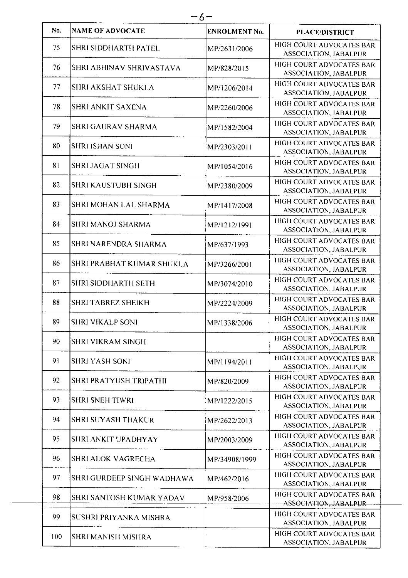|                             | <b>ENROLMENT No.</b> | <b>PLACE/DISTRICT</b>                                           |
|-----------------------------|----------------------|-----------------------------------------------------------------|
| <b>SHRI SIDDHARTH PATEL</b> | MP/2631/2006         | HIGH COURT ADVOCATES BAR<br><b>ASSOCIATION, JABALPUR</b>        |
| SHRI ABHINAV SHRIVASTAVA    | MP/828/2015          | HIGH COURT ADVOCATES BAR<br><b>ASSOCIATION, JABALPUR</b>        |
| SHRI AKSHAT SHUKLA          | MP/1206/2014         | HIGH COURT ADVOCATES BAR<br><b>ASSOCIATION, JABALPUR</b>        |
| <b>SHRI ANKIT SAXENA</b>    | MP/2260/2006         | HIGH COURT ADVOCATES BAR<br><b>ASSOCIATION, JABALPUR</b>        |
| <b>SHRI GAURAV SHARMA</b>   | MP/1582/2004         | HIGH COURT ADVOCATES BAR<br>ASSOCIATION, JABALPUR               |
| <b>SHRI ISHAN SONI</b>      | MP/2303/2011         | <b>HIGH COURT ADVOCATES BAR</b><br><b>ASSOCIATION, JABALPUR</b> |
| SHRI JAGAT SINGH            | MP/1054/2016         | <b>HIGH COURT ADVOCATES BAR</b><br><b>ASSOCIATION, JABALPUR</b> |
| SHRI KAUSTUBH SINGH         | MP/2380/2009         | HIGH COURT ADVOCATES BAR<br><b>ASSOCIATION, JABALPUR</b>        |
| SHRI MOHAN LAL SHARMA       | MP/1417/2008         | <b>HIGH COURT ADVOCATES BAR</b><br><b>ASSOCIATION, JABALPUR</b> |
| <b>SHRI MANOJ SHARMA</b>    | MP/1212/1991         | <b>HIGH COURT ADVOCATES BAR</b><br>ASSOCIATION, JABALPUR        |
| SHRI NARENDRA SHARMA        | MP/637/1993          | HIGH COURT ADVOCATES BAR<br>ASSOCIATION, JABALPUR               |
| SHRI PRABHAT KUMAR SHUKLA   | MP/3266/2001         | HIGH COURT ADVOCATES BAR<br>ASSOCIATION, JABALPUR               |
| SHRI SIDDHARTH SETH         | MP/3074/2010         | <b>HIGH COURT ADVOCATES BAR</b><br><b>ASSOCIATION, JABALPUR</b> |
| SHRI TABREZ SHEIKH          | MP/2224/2009         | HIGH COURT ADVOCATES BAR<br><b>ASSOCIATION, JABALPUR</b>        |
| <b>SHRI VIKALP SONI</b>     | MP/1338/2006         | HIGH COURT ADVOCATES BAR<br>ASSOCIATION, JABALPUR               |
| SHRI VIKRAM SINGH           |                      | HIGH COURT ADVOCATES BAR<br><b>ASSOCIATION, JABALPUR</b>        |
| SHRI YASH SONI              | MP/1194/2011         | HIGH COURT ADVOCATES BAR<br><b>ASSOCIATION, JABALPUR</b>        |
| SHRI PRATYUSH TRIPATHI      | MP/820/2009          | HIGH COURT ADVOCATES BAR<br>ASSOCIATION, JABALPUR               |
| SHRI SNEH TIWRI             | MP/1222/2015         | HIGH COURT ADVOCATES BAR<br><b>ASSOCIATION, JABALPUR</b>        |
| SHRI SUYASH THAKUR          | MP/2622/2013         | HIGH COURT ADVOCATES BAR<br>ASSOCIATION, JABALPUR               |
| SHRI ANKIT UPADHYAY         | MP/2003/2009         | <b>HIGH COURT ADVOCATES BAR</b><br>ASSOCIATION, JABALPUR        |
| <b>SHRI ALOK VAGRECHA</b>   | MP/34908/1999        | HIGH COURT ADVOCATES BAR<br><b>ASSOCIATION, JABALPUR</b>        |
| SHRI GURDEEP SINGH WADHAWA  | MP/462/2016          | HIGH COURT ADVOCATES BAR<br>ASSOCIATION, JABALPUR               |
|                             |                      | HIGH COURT ADVOCATES BAR                                        |
| SHRI SANTOSH KUMAR YADAV    | MP/958/2006          | ASSOCIATION, JABALPUR                                           |
| SUSHRI PRIYANKA MISHRA      |                      | HIGH COURT ADVOCATES BAR<br><b>ASSOCIATION, JABALPUR</b>        |
|                             |                      |                                                                 |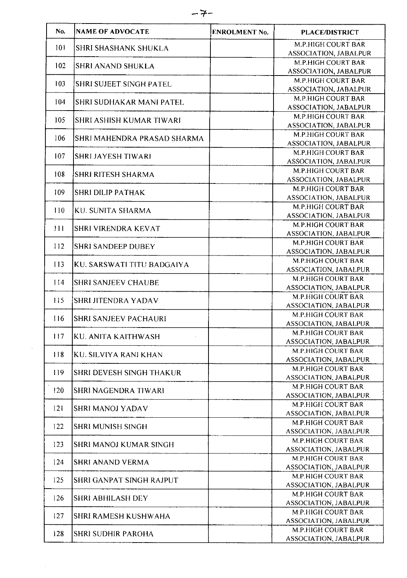| No.             | <b>NAME OF ADVOCATE</b>         | <b>ENROLMENT No.</b> | <b>PLACE/DISTRICT</b>                              |
|-----------------|---------------------------------|----------------------|----------------------------------------------------|
| 101             | <b>SHRI SHASHANK SHUKLA</b>     |                      | M.P.HIGH COURT BAR<br><b>ASSOCIATION, JABALPUR</b> |
|                 |                                 |                      | M.P.HIGH COURT BAR                                 |
| 102             | <b>SHRI ANAND SHUKLA</b>        |                      | <b>ASSOCIATION, JABALPUR</b>                       |
| 103             | SHRI SUJEET SINGH PATEL         |                      | M.P.HIGH COURT BAR                                 |
|                 |                                 |                      | ASSOCIATION, JABALPUR                              |
| 104             | SHRI SUDHAKAR MANI PATEL        |                      | M.P.HIGH COURT BAR                                 |
|                 |                                 |                      | ASSOCIATION, JABALPUR                              |
| 10 <sub>5</sub> | SHRI ASHISH KUMAR TIWARI        |                      | <b>M.P.HIGH COURT BAR</b><br>ASSOCIATION, JABALPUR |
| 106             | SHRI MAHENDRA PRASAD SHARMA     |                      | M.P.HIGH COURT BAR                                 |
|                 |                                 |                      | ASSOCIATION, JABALPUR                              |
| 107             | <b>SHRI JAYESH TIWARI</b>       |                      | M.P.HIGH COURT BAR<br>ASSOCIATION, JABALPUR        |
|                 |                                 |                      | <b>M.P.HIGH COURT BAR</b>                          |
| 108             | SHRI RITESH SHARMA              |                      | ASSOCIATION, JABALPUR                              |
| 109             | SHRI DILIP PATHAK               |                      | M.P.HIGH COURT BAR                                 |
|                 |                                 |                      | ASSOCIATION, JABALPUR                              |
| 110             | KU. SUNITA SHARMA               |                      | M.P.HIGH COURT BAR                                 |
|                 |                                 |                      | ASSOCIATION, JABALPUR                              |
| 111             | SHRI VIRENDRA KEVAT             |                      | M.P.HIGH COURT BAR                                 |
|                 |                                 |                      | ASSOCIATION, JABALPUR                              |
| 112             | SHRI SANDEEP DUBEY              |                      | M.P.HIGH COURT BAR<br>ASSOCIATION, JABALPUR        |
|                 |                                 |                      | M.P.HIGH COURT BAR                                 |
| 113             | KU. SARSWATI TITU BADGAIYA      |                      | ASSOCIATION, JABALPUR                              |
|                 |                                 |                      | M.P.HIGH COURT BAR                                 |
| 114             | <b>SHRI SANJEEV CHAUBE</b>      |                      | <b>ASSOCIATION, JABALPUR</b>                       |
| 115             | SHRI JITENDRA YADAV             |                      | M.P.HIGH COURT BAR                                 |
|                 |                                 |                      | ASSOCIATION, JABALPUR                              |
| 116             | <b>SHRI SANJEEV PACHAURI</b>    |                      | M.P.HIGH COURT BAR<br>ASSOCIATION, JABALPUR        |
|                 |                                 |                      | M.P.HIGH COURT BAR                                 |
| 117             | KU. ANITA KAITHWASH             |                      | <b>ASSOCIATION, JABALPUR</b>                       |
| 118             | KU. SILVIYA RANI KHAN           |                      | M.P.HIGH COURT BAR                                 |
|                 |                                 |                      | ASSOCIATION, JABALPUR                              |
| 119             | <b>SHRI DEVESH SINGH THAKUR</b> |                      | M.P.HIGH COURT BAR                                 |
|                 |                                 |                      | ASSOCIATION, JABALPUR                              |
| 120             | <b>SHRI NAGENDRA TIWARI</b>     |                      | M.P.HIGH COURT BAR<br>ASSOCIATION, JABALPUR        |
|                 |                                 |                      | M.P.HIGH COURT BAR                                 |
| 121             | <b>SHRI MANOJ YADAV</b>         |                      | ASSOCIATION, JABALPUR                              |
| 122             | SHRI MUNISH SINGH               |                      | M.P.HIGH COURT BAR                                 |
|                 |                                 |                      | ASSOCIATION, JABALPUR                              |
| 123             | SHRI MANOJ KUMAR SINGH          |                      | M.P.HIGH COURT BAR<br>ASSOCIATION, JABALPUR        |
|                 |                                 |                      | M.P.HIGH COURT BAR                                 |
| 124             | <b>SHRI ANAND VERMA</b>         |                      | ASSOCIATION, JABALPUR                              |
| 125             | <b>SHRI GANPAT SINGH RAJPUT</b> |                      | M.P.HIGH COURT BAR                                 |
|                 |                                 |                      | ASSOCIATION, JABALPUR                              |
| 126             | <b>SHRI ABHILASH DEY</b>        |                      | M.P.HIGH COURT BAR                                 |
|                 |                                 |                      | ASSOCIATION, JABALPUR<br>M.P.HIGH COURT BAR        |
| 127             | SHRI RAMESH KUSHWAHA            |                      | ASSOCIATION, JABALPUR                              |
|                 |                                 |                      | M.P.HIGH COURT BAR                                 |
| 128             | SHRI SUDHIR PAROHA              |                      | ASSOCIATION, JABALPUR                              |

 $\frac{1}{2}$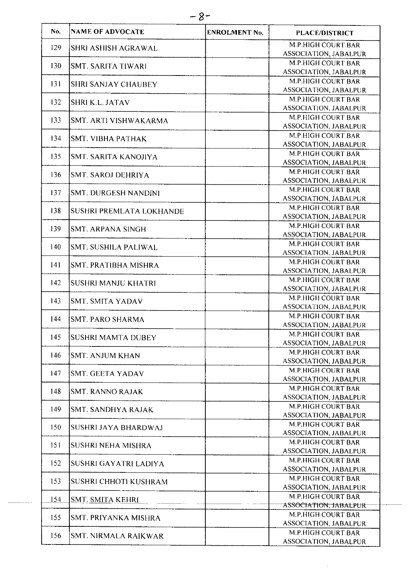| No. | <b>NAME OF ADVOCATE</b>     | <b>ENROLMENT No.</b> | <b>PLACE/DISTRICT</b>                                     |
|-----|-----------------------------|----------------------|-----------------------------------------------------------|
| 129 | <b>SHRI ASHISH AGRAWAL</b>  |                      | <b>M.P.HIGH COURT BAR</b>                                 |
|     |                             |                      | ASSOCIATION, JABALPUR                                     |
| 130 | <b>SMT. SARITA TIWARI</b>   |                      | <b>M.P.HIGH COURT BAR</b>                                 |
|     |                             |                      | <b>ASSOCIATION, JABALPUR</b>                              |
| 131 | <b>SHRI SANJAY CHAUBEY</b>  |                      | <b>M.P.HIGH COURT BAR</b>                                 |
|     |                             |                      | <b>ASSOCIATION, JABALPUR</b><br><b>M.P.HIGH COURT BAR</b> |
| 132 | <b>SHRI K.L. JATAV</b>      |                      | ASSOCIATION, JABALPUR                                     |
| 133 | SMT. ARTI VISHWAKARMA       |                      | <b>M.P.HIGH COURT BAR</b>                                 |
|     |                             |                      | <b>ASSOCIATION, JABALPUR</b>                              |
| 134 | SMT. VIBHA PATHAK           |                      | <b>M.P.HIGH COURT BAR</b>                                 |
|     |                             |                      | ASSOCIATION, JABALPUR<br><b>M.P.HIGH COURT BAR</b>        |
| 135 | SMT. SARITA KANOJIYA        |                      | <b>ASSOCIATION, JABALPUR</b>                              |
| 136 |                             |                      | <b>M.P.HIGH COURT BAR</b>                                 |
|     | <b>SMT. SAROJ DEHRIYA</b>   |                      | ASSOCIATION, JABALPUR                                     |
| 137 | SMT. DURGESH NANDINI        |                      | <b>M.P.HIGH COURT BAR</b>                                 |
|     |                             |                      | ASSOCIATION, JABALPUR                                     |
| 138 | SUSHRI PREMLATA LOKHANDE    |                      | M.P.HIGH COURT BAR                                        |
|     |                             |                      | <b>ASSOCIATION, JABALPUR</b>                              |
| 139 | SMT. ARPANA SINGH           |                      | M.P.HIGH COURT BAR<br><b>ASSOCIATION, JABALPUR</b>        |
|     |                             |                      | M.P.HIGH COURT BAR                                        |
| 140 | <b>SMT. SUSHILA PALIWAL</b> |                      | <b>ASSOCIATION, JABALPUR</b>                              |
| [4] | SMT. PRATIBHA MISHRA        |                      | <b>M.P.HIGH COURT BAR</b>                                 |
|     |                             |                      | <b>ASSOCIATION, JABALPUR</b>                              |
| 142 | <b>SUSHRI MANJU KHATRI</b>  |                      | M.P.HIGH COURT BAR                                        |
|     |                             |                      | ASSOCIATION, JABALPUR                                     |
| 143 | <b>SMT. SMITA YADAV</b>     |                      | M.P.HIGH COURT BAR<br><b>ASSOCIATION, JABALPUR</b>        |
|     |                             |                      | M P HIGH COURT BAR                                        |
| 144 | SMT. PARO SHARMA            |                      | ASSOCIATION, JABALPUR                                     |
| 145 | <b>SUSHRI MAMTA DUBEY</b>   |                      | M.P.HIGH COURT BAR                                        |
|     |                             |                      | ASSOCIATION, JABALPUR                                     |
| 146 | <b>SMT. ANJUM KHAN</b>      |                      | M.P.HIGH COURT BAR                                        |
|     |                             |                      | ASSOCIATION, JABALPUR                                     |
| 147 | <b>SMT. GEETA YADAV</b>     |                      | <b>M.P.HIGH COURT BAR</b><br><b>ASSOCIATION, JABALPUR</b> |
|     |                             |                      | <b>M.P.HIGH COURT BAR</b>                                 |
| 148 | <b>SMT. RANNO RAJAK</b>     |                      | <b>ASSOCIATION, JABALPUR</b>                              |
| 149 | <b>SMT. SANDHYA RAJAK</b>   |                      | M.P.HIGH COURT BAR                                        |
|     |                             |                      | <b>ASSOCIATION, JABALPUR</b>                              |
| 150 | SUSHRI JAYA BHARDWAJ        |                      | M.P.HIGH COURT BAR                                        |
|     |                             |                      | ASSOCIATION, JABALPUR<br>M.P.HIGH COURT BAR               |
| 151 | SUSHRI NEHA MISHRA          |                      | ASSOCIATION, JABALPUR                                     |
| 152 | SUSHRI GAYATRI LADIYA       |                      | M.P.HIGH COURT BAR                                        |
|     |                             |                      | ASSOCIATION, JABALPUR                                     |
| 153 | SUSHRI CHHOTI KUSHRAM       |                      | M.P.HIGH COURT BAR                                        |
|     |                             |                      | <b>ASSOCIATION, JABALPUR</b>                              |
| 154 | <b>SMT. SMITA KEHRI</b>     |                      | M P.HIGH COURT BAR<br>ASSOCIATION, JABALPUR               |
|     |                             |                      | M.P.HIGH COURT BAR                                        |
| 155 | SMT. PRIYANKA MISHRA        |                      | <b>ASSOCIATION, JABALPUR</b>                              |
| 156 | SMT. NIRMALA RAIKWAR        |                      | M.P.HIGH COURT BAR                                        |
|     |                             |                      | ASSOCIATION, JABALPUR                                     |